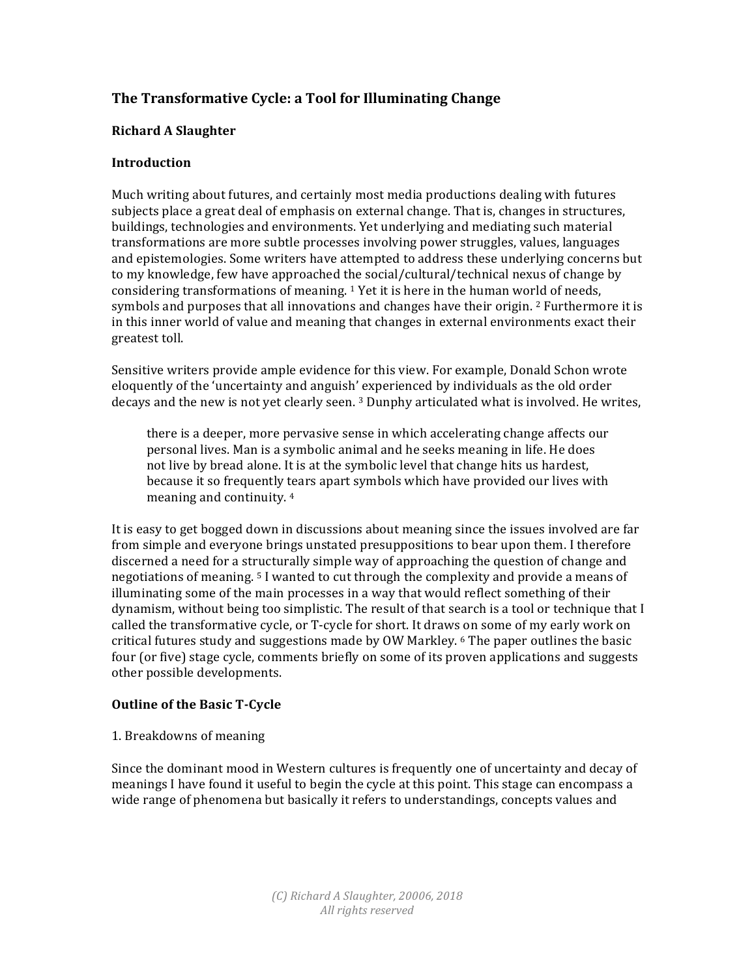# **The Transformative Cycle: a Tool for Illuminating Change**

# **Richard A Slaughter**

#### **Introduction**

Much writing about futures, and certainly most media productions dealing with futures subjects place a great deal of emphasis on external change. That is, changes in structures, buildings, technologies and environments. Yet underlying and mediating such material transformations are more subtle processes involving power struggles, values, languages and epistemologies. Some writers have attempted to address these underlying concerns but to my knowledge, few have approached the social/cultural/technical nexus of change by considering transformations of meaning.  $1$  Yet it is here in the human world of needs, symbols and purposes that all innovations and changes have their origin.  $2$  Furthermore it is in this inner world of value and meaning that changes in external environments exact their greatest toll.

Sensitive writers provide ample evidence for this view. For example, Donald Schon wrote eloquently of the 'uncertainty and anguish' experienced by individuals as the old order decays and the new is not yet clearly seen. 3 Dunphy articulated what is involved. He writes,

there is a deeper, more pervasive sense in which accelerating change affects our personal lives. Man is a symbolic animal and he seeks meaning in life. He does not live by bread alone. It is at the symbolic level that change hits us hardest, because it so frequently tears apart symbols which have provided our lives with meaning and continuity. 4

It is easy to get bogged down in discussions about meaning since the issues involved are far from simple and everyone brings unstated presuppositions to bear upon them. I therefore discerned a need for a structurally simple way of approaching the question of change and negotiations of meaning.  $5$  I wanted to cut through the complexity and provide a means of illuminating some of the main processes in a way that would reflect something of their dynamism, without being too simplistic. The result of that search is a tool or technique that I called the transformative cycle, or T-cycle for short. It draws on some of my early work on critical futures study and suggestions made by OW Markley.  $6$  The paper outlines the basic four (or five) stage cycle, comments briefly on some of its proven applications and suggests other possible developments.

# **Outline of the Basic T-Cycle**

#### 1. Breakdowns of meaning

Since the dominant mood in Western cultures is frequently one of uncertainty and decay of meanings I have found it useful to begin the cycle at this point. This stage can encompass a wide range of phenomena but basically it refers to understandings, concepts values and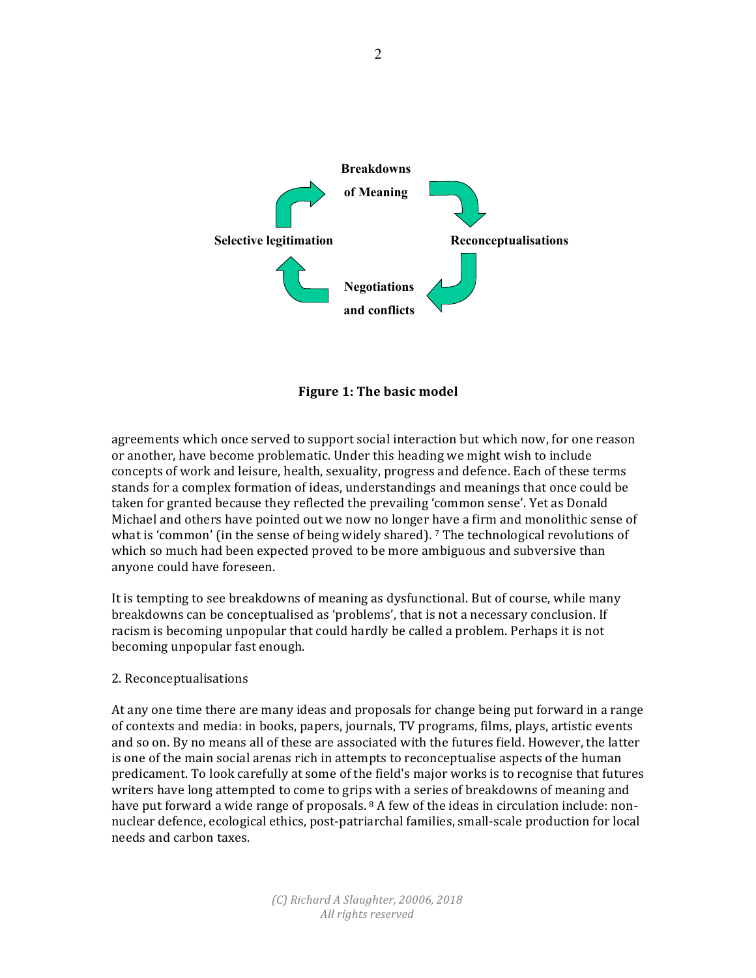

**Figure 1: The basic model** 

agreements which once served to support social interaction but which now, for one reason or another, have become problematic. Under this heading we might wish to include concepts of work and leisure, health, sexuality, progress and defence. Each of these terms stands for a complex formation of ideas, understandings and meanings that once could be taken for granted because they reflected the prevailing 'common sense'. Yet as Donald Michael and others have pointed out we now no longer have a firm and monolithic sense of what is 'common' (in the sense of being widely shared).  $\bar{z}$  The technological revolutions of which so much had been expected proved to be more ambiguous and subversive than anyone could have foreseen.

It is tempting to see breakdowns of meaning as dysfunctional. But of course, while many breakdowns can be conceptualised as 'problems', that is not a necessary conclusion. If racism is becoming unpopular that could hardly be called a problem. Perhaps it is not becoming unpopular fast enough.

#### 2. Reconceptualisations

At any one time there are many ideas and proposals for change being put forward in a range of contexts and media: in books, papers, journals, TV programs, films, plays, artistic events and so on. By no means all of these are associated with the futures field. However, the latter is one of the main social arenas rich in attempts to reconceptualise aspects of the human predicament. To look carefully at some of the field's major works is to recognise that futures writers have long attempted to come to grips with a series of breakdowns of meaning and have put forward a wide range of proposals.  $8$  A few of the ideas in circulation include: nonnuclear defence, ecological ethics, post-patriarchal families, small-scale production for local needs and carbon taxes.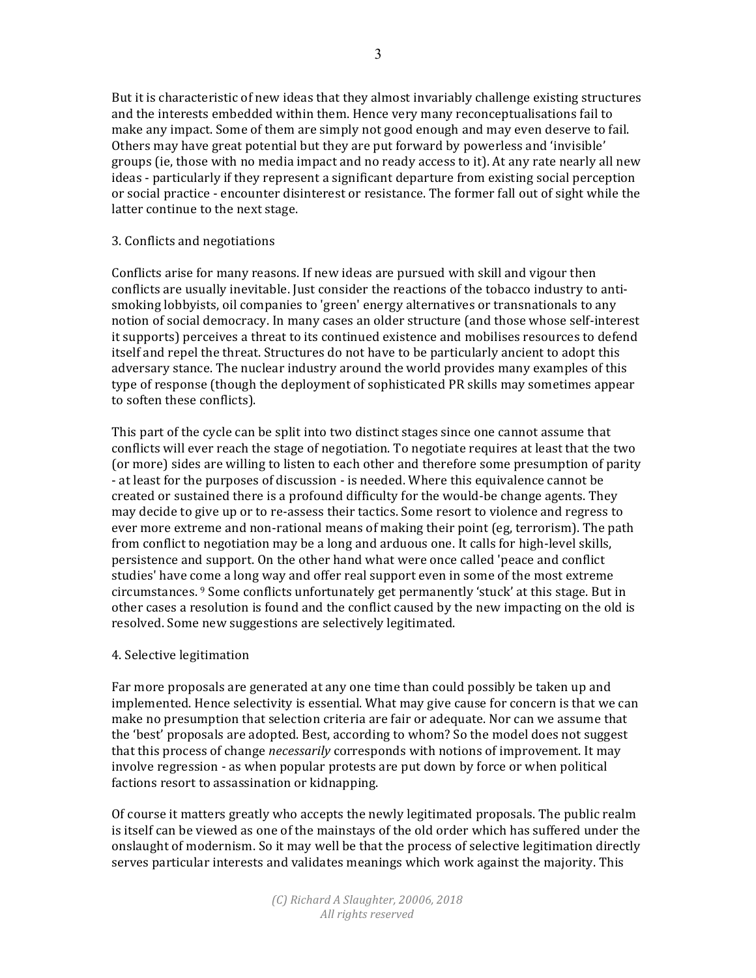But it is characteristic of new ideas that they almost invariably challenge existing structures and the interests embedded within them. Hence very many reconceptualisations fail to make any impact. Some of them are simply not good enough and may even deserve to fail. Others may have great potential but they are put forward by powerless and 'invisible' groups (ie, those with no media impact and no ready access to it). At any rate nearly all new ideas - particularly if they represent a significant departure from existing social perception or social practice - encounter disinterest or resistance. The former fall out of sight while the latter continue to the next stage.

#### 3. Conflicts and negotiations

Conflicts arise for many reasons. If new ideas are pursued with skill and vigour then conflicts are usually inevitable. Just consider the reactions of the tobacco industry to antismoking lobbyists, oil companies to 'green' energy alternatives or transnationals to any notion of social democracy. In many cases an older structure (and those whose self-interest it supports) perceives a threat to its continued existence and mobilises resources to defend itself and repel the threat. Structures do not have to be particularly ancient to adopt this adversary stance. The nuclear industry around the world provides many examples of this type of response (though the deployment of sophisticated PR skills may sometimes appear to soften these conflicts).

This part of the cycle can be split into two distinct stages since one cannot assume that conflicts will ever reach the stage of negotiation. To negotiate requires at least that the two (or more) sides are willing to listen to each other and therefore some presumption of parity - at least for the purposes of discussion - is needed. Where this equivalence cannot be created or sustained there is a profound difficulty for the would-be change agents. They may decide to give up or to re-assess their tactics. Some resort to violence and regress to ever more extreme and non-rational means of making their point (eg, terrorism). The path from conflict to negotiation may be a long and arduous one. It calls for high-level skills, persistence and support. On the other hand what were once called 'peace and conflict studies' have come a long way and offer real support even in some of the most extreme circumstances. <sup>9</sup> Some conflicts unfortunately get permanently 'stuck' at this stage. But in other cases a resolution is found and the conflict caused by the new impacting on the old is resolved. Some new suggestions are selectively legitimated.

#### 4. Selective legitimation

Far more proposals are generated at any one time than could possibly be taken up and implemented. Hence selectivity is essential. What may give cause for concern is that we can make no presumption that selection criteria are fair or adequate. Nor can we assume that the 'best' proposals are adopted. Best, according to whom? So the model does not suggest that this process of change *necessarily* corresponds with notions of improvement. It may involve regression - as when popular protests are put down by force or when political factions resort to assassination or kidnapping.

Of course it matters greatly who accepts the newly legitimated proposals. The public realm is itself can be viewed as one of the mainstays of the old order which has suffered under the onslaught of modernism. So it may well be that the process of selective legitimation directly serves particular interests and validates meanings which work against the majority. This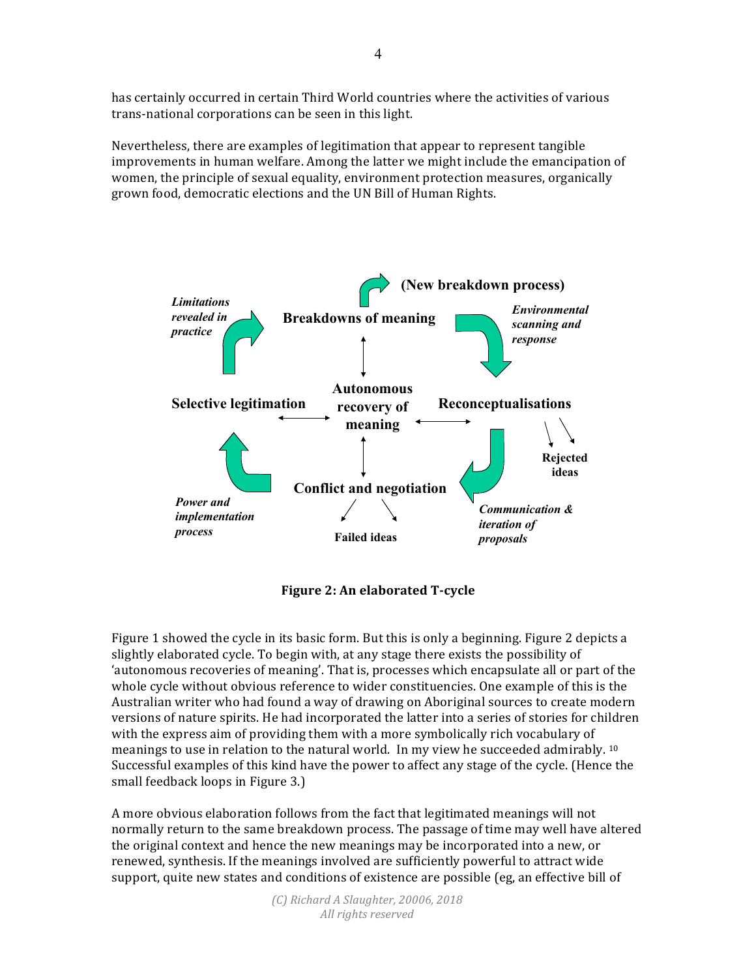has certainly occurred in certain Third World countries where the activities of various trans-national corporations can be seen in this light.

Nevertheless, there are examples of legitimation that appear to represent tangible improvements in human welfare. Among the latter we might include the emancipation of women, the principle of sexual equality, environment protection measures, organically grown food, democratic elections and the UN Bill of Human Rights.



**Figure 2: An elaborated T-cycle** 

Figure 1 showed the cycle in its basic form. But this is only a beginning. Figure 2 depicts a slightly elaborated cycle. To begin with, at any stage there exists the possibility of 'autonomous recoveries of meaning'. That is, processes which encapsulate all or part of the whole cycle without obvious reference to wider constituencies. One example of this is the Australian writer who had found a way of drawing on Aboriginal sources to create modern versions of nature spirits. He had incorporated the latter into a series of stories for children with the express aim of providing them with a more symbolically rich vocabulary of meanings to use in relation to the natural world. In my view he succeeded admirably.  $10<sup>10</sup>$ Successful examples of this kind have the power to affect any stage of the cycle. (Hence the small feedback loops in Figure 3.)

A more obvious elaboration follows from the fact that legitimated meanings will not normally return to the same breakdown process. The passage of time may well have altered the original context and hence the new meanings may be incorporated into a new, or renewed, synthesis. If the meanings involved are sufficiently powerful to attract wide support, quite new states and conditions of existence are possible (eg, an effective bill of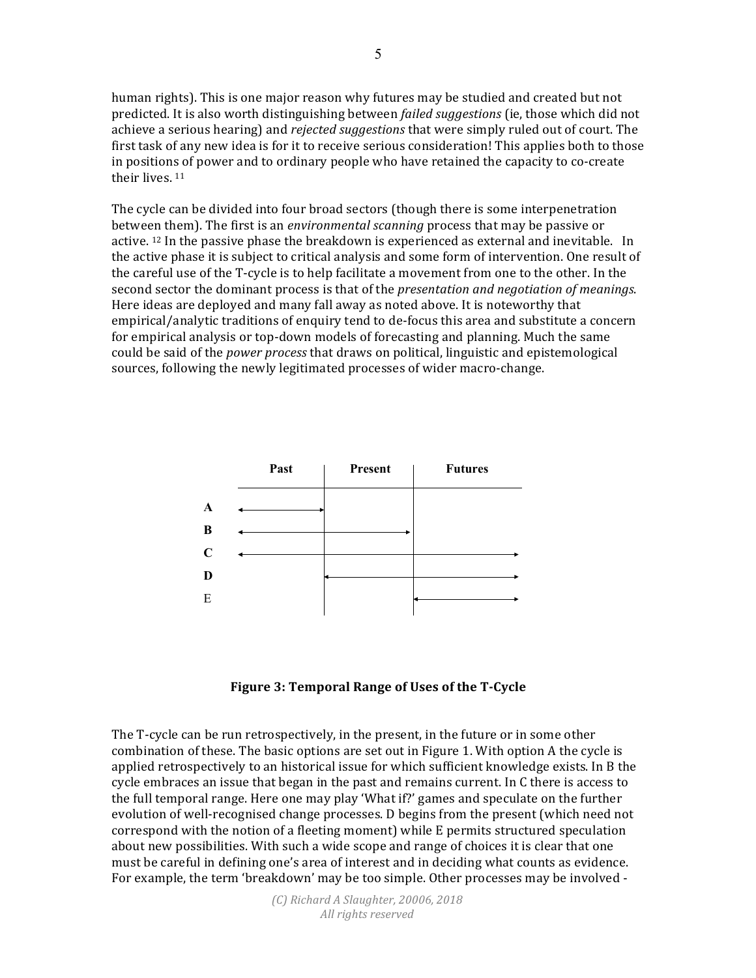human rights). This is one major reason why futures may be studied and created but not predicted. It is also worth distinguishing between *failed suggestions* (ie, those which did not achieve a serious hearing) and *rejected suggestions* that were simply ruled out of court. The first task of any new idea is for it to receive serious consideration! This applies both to those in positions of power and to ordinary people who have retained the capacity to co-create their lives.<sup>11</sup>

The cycle can be divided into four broad sectors (though there is some interpenetration between them). The first is an *environmental scanning* process that may be passive or active.  $12$  In the passive phase the breakdown is experienced as external and inevitable. In the active phase it is subject to critical analysis and some form of intervention. One result of the careful use of the T-cycle is to help facilitate a movement from one to the other. In the second sector the dominant process is that of the *presentation and negotiation of meanings*. Here ideas are deployed and many fall away as noted above. It is noteworthy that empirical/analytic traditions of enquiry tend to de-focus this area and substitute a concern for empirical analysis or top-down models of forecasting and planning. Much the same could be said of the *power process* that draws on political, linguistic and epistemological sources, following the newly legitimated processes of wider macro-change.



**Figure 3: Temporal Range of Uses of the T-Cycle** 

The T-cycle can be run retrospectively, in the present, in the future or in some other combination of these. The basic options are set out in Figure 1. With option A the cycle is applied retrospectively to an historical issue for which sufficient knowledge exists. In B the cycle embraces an issue that began in the past and remains current. In C there is access to the full temporal range. Here one may play 'What if?' games and speculate on the further evolution of well-recognised change processes. D begins from the present (which need not correspond with the notion of a fleeting moment) while E permits structured speculation about new possibilities. With such a wide scope and range of choices it is clear that one must be careful in defining one's area of interest and in deciding what counts as evidence. For example, the term 'breakdown' may be too simple. Other processes may be involved -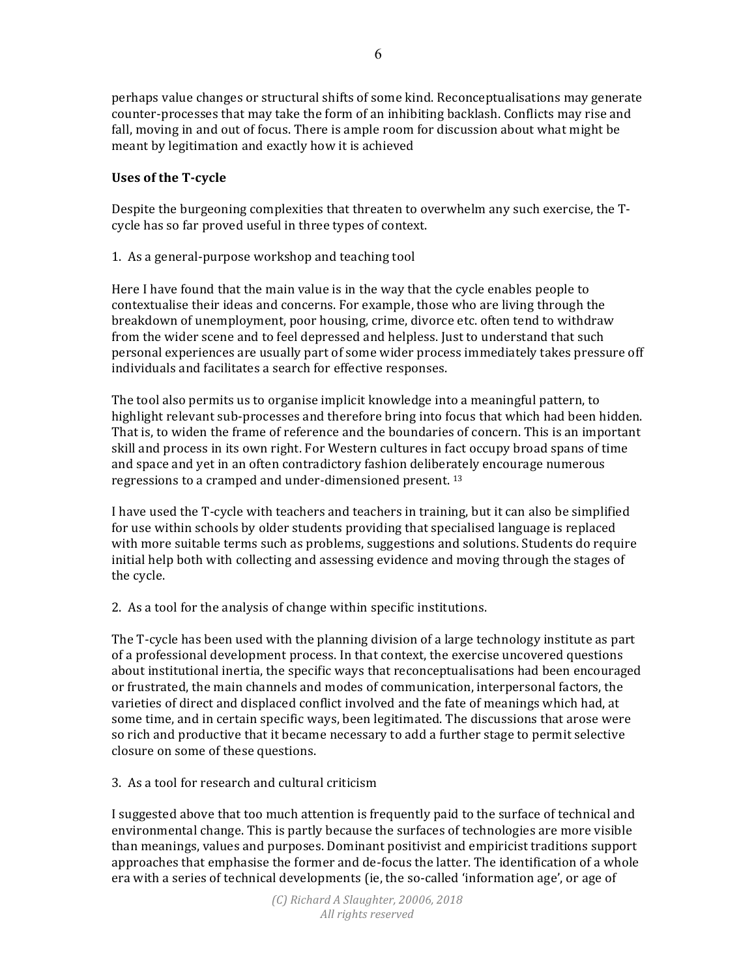perhaps value changes or structural shifts of some kind. Reconceptualisations may generate counter-processes that may take the form of an inhibiting backlash. Conflicts may rise and fall, moving in and out of focus. There is ample room for discussion about what might be meant by legitimation and exactly how it is achieved

6

# **Uses of the T-cycle**

Despite the burgeoning complexities that threaten to overwhelm any such exercise, the Tcycle has so far proved useful in three types of context.

# 1. As a general-purpose workshop and teaching tool

Here I have found that the main value is in the way that the cycle enables people to contextualise their ideas and concerns. For example, those who are living through the breakdown of unemployment, poor housing, crime, divorce etc. often tend to withdraw from the wider scene and to feel depressed and helpless. Just to understand that such personal experiences are usually part of some wider process immediately takes pressure off individuals and facilitates a search for effective responses.

The tool also permits us to organise implicit knowledge into a meaningful pattern, to highlight relevant sub-processes and therefore bring into focus that which had been hidden. That is, to widen the frame of reference and the boundaries of concern. This is an important skill and process in its own right. For Western cultures in fact occupy broad spans of time and space and yet in an often contradictory fashion deliberately encourage numerous regressions to a cramped and under-dimensioned present. 13

I have used the T-cycle with teachers and teachers in training, but it can also be simplified for use within schools by older students providing that specialised language is replaced with more suitable terms such as problems, suggestions and solutions. Students do require initial help both with collecting and assessing evidence and moving through the stages of the cycle.

2. As a tool for the analysis of change within specific institutions.

The T-cycle has been used with the planning division of a large technology institute as part of a professional development process. In that context, the exercise uncovered questions about institutional inertia, the specific ways that reconceptualisations had been encouraged or frustrated, the main channels and modes of communication, interpersonal factors, the varieties of direct and displaced conflict involved and the fate of meanings which had, at some time, and in certain specific ways, been legitimated. The discussions that arose were so rich and productive that it became necessary to add a further stage to permit selective closure on some of these questions.

3. As a tool for research and cultural criticism

I suggested above that too much attention is frequently paid to the surface of technical and environmental change. This is partly because the surfaces of technologies are more visible than meanings, values and purposes. Dominant positivist and empiricist traditions support approaches that emphasise the former and de-focus the latter. The identification of a whole era with a series of technical developments (ie, the so-called 'information age', or age of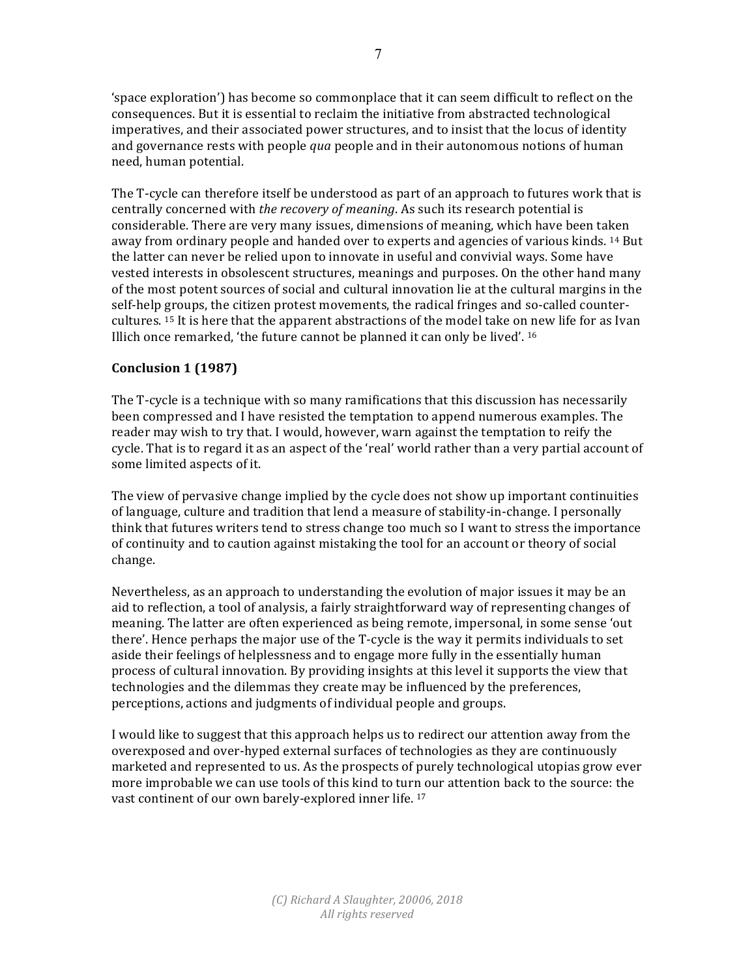'space exploration') has become so commonplace that it can seem difficult to reflect on the consequences. But it is essential to reclaim the initiative from abstracted technological imperatives, and their associated power structures, and to insist that the locus of identity and governance rests with people *qua* people and in their autonomous notions of human need, human potential.

The T-cycle can therefore itself be understood as part of an approach to futures work that is centrally concerned with *the recovery of meaning*. As such its research potential is considerable. There are very many issues, dimensions of meaning, which have been taken away from ordinary people and handed over to experts and agencies of various kinds.  $^{14}$  But the latter can never be relied upon to innovate in useful and convivial ways. Some have vested interests in obsolescent structures, meanings and purposes. On the other hand many of the most potent sources of social and cultural innovation lie at the cultural margins in the self-help groups, the citizen protest movements, the radical fringes and so-called countercultures. <sup>15</sup> It is here that the apparent abstractions of the model take on new life for as Ivan Illich once remarked, 'the future cannot be planned it can only be lived'.  $16$ 

# **Conclusion 1 (1987)**

The T-cycle is a technique with so many ramifications that this discussion has necessarily been compressed and I have resisted the temptation to append numerous examples. The reader may wish to try that. I would, however, warn against the temptation to reify the cycle. That is to regard it as an aspect of the 'real' world rather than a very partial account of some limited aspects of it.

The view of pervasive change implied by the cycle does not show up important continuities of language, culture and tradition that lend a measure of stability-in-change. I personally think that futures writers tend to stress change too much so I want to stress the importance of continuity and to caution against mistaking the tool for an account or theory of social change.

Nevertheless, as an approach to understanding the evolution of major issues it may be an aid to reflection, a tool of analysis, a fairly straightforward way of representing changes of meaning. The latter are often experienced as being remote, impersonal, in some sense 'out there'. Hence perhaps the major use of the T-cycle is the way it permits individuals to set aside their feelings of helplessness and to engage more fully in the essentially human process of cultural innovation. By providing insights at this level it supports the view that technologies and the dilemmas they create may be influenced by the preferences, perceptions, actions and judgments of individual people and groups.

I would like to suggest that this approach helps us to redirect our attention away from the overexposed and over-hyped external surfaces of technologies as they are continuously marketed and represented to us. As the prospects of purely technological utopias grow ever more improbable we can use tools of this kind to turn our attention back to the source: the vast continent of our own barely-explored inner life. 17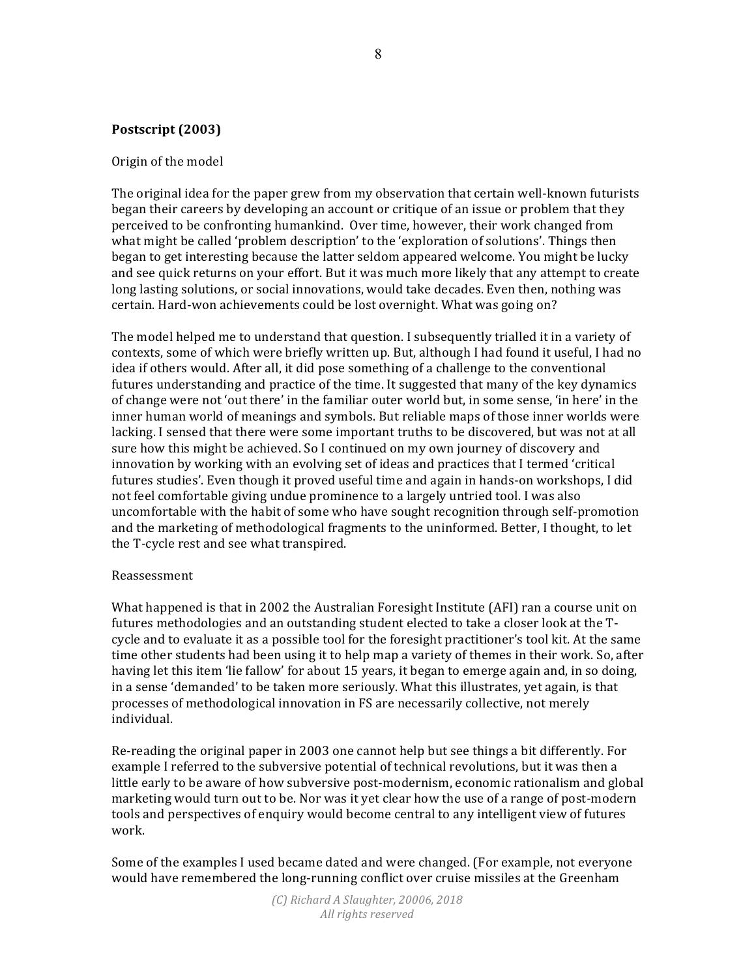#### Postscript (2003)

#### Origin of the model

The original idea for the paper grew from my observation that certain well-known futurists began their careers by developing an account or critique of an issue or problem that they perceived to be confronting humankind. Over time, however, their work changed from what might be called 'problem description' to the 'exploration of solutions'. Things then began to get interesting because the latter seldom appeared welcome. You might be lucky and see quick returns on your effort. But it was much more likely that any attempt to create long lasting solutions, or social innovations, would take decades. Even then, nothing was certain. Hard-won achievements could be lost overnight. What was going on?

The model helped me to understand that question. I subsequently trialled it in a variety of contexts, some of which were briefly written up. But, although I had found it useful, I had no idea if others would. After all, it did pose something of a challenge to the conventional futures understanding and practice of the time. It suggested that many of the key dynamics of change were not 'out there' in the familiar outer world but, in some sense, 'in here' in the inner human world of meanings and symbols. But reliable maps of those inner worlds were lacking. I sensed that there were some important truths to be discovered, but was not at all sure how this might be achieved. So I continued on my own journey of discovery and innovation by working with an evolving set of ideas and practices that I termed 'critical futures studies'. Even though it proved useful time and again in hands-on workshops, I did not feel comfortable giving undue prominence to a largely untried tool. I was also uncomfortable with the habit of some who have sought recognition through self-promotion and the marketing of methodological fragments to the uninformed. Better, I thought, to let the T-cycle rest and see what transpired.

#### Reassessment

What happened is that in 2002 the Australian Foresight Institute  $(AFI)$  ran a course unit on futures methodologies and an outstanding student elected to take a closer look at the Tcycle and to evaluate it as a possible tool for the foresight practitioner's tool kit. At the same time other students had been using it to help map a variety of themes in their work. So, after having let this item 'lie fallow' for about 15 years, it began to emerge again and, in so doing, in a sense 'demanded' to be taken more seriously. What this illustrates, yet again, is that processes of methodological innovation in FS are necessarily collective, not merely individual. 

Re-reading the original paper in 2003 one cannot help but see things a bit differently. For example I referred to the subversive potential of technical revolutions, but it was then a little early to be aware of how subversive post-modernism, economic rationalism and global marketing would turn out to be. Nor was it yet clear how the use of a range of post-modern tools and perspectives of enquiry would become central to any intelligent view of futures work.

Some of the examples I used became dated and were changed. (For example, not everyone would have remembered the long-running conflict over cruise missiles at the Greenham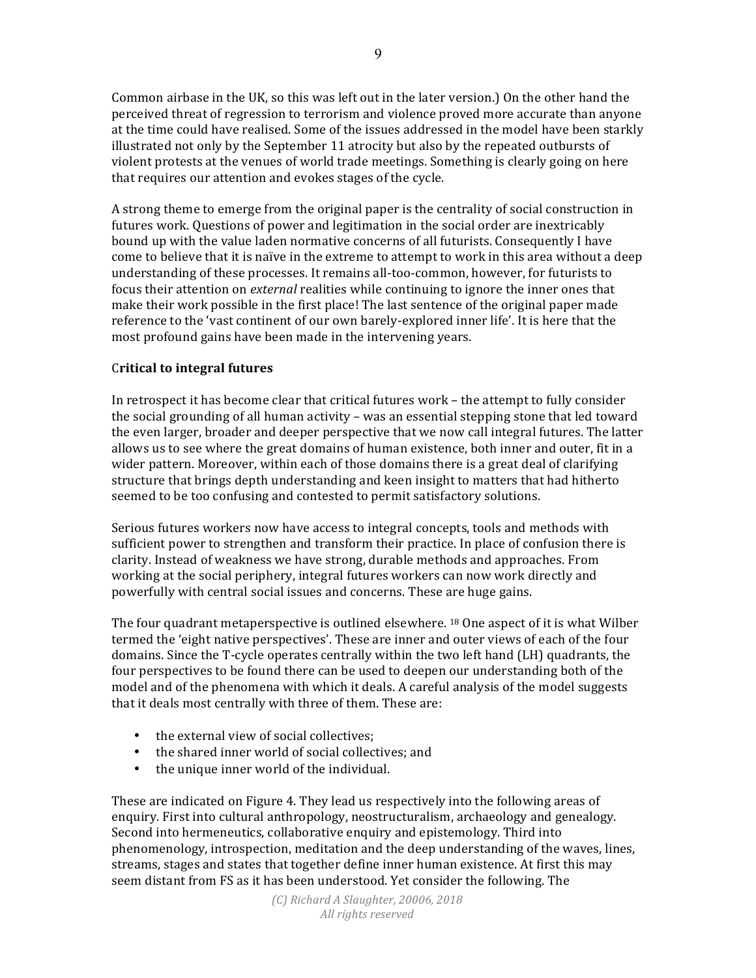Common airbase in the UK, so this was left out in the later version.) On the other hand the perceived threat of regression to terrorism and violence proved more accurate than anyone at the time could have realised. Some of the issues addressed in the model have been starkly illustrated not only by the September 11 atrocity but also by the repeated outbursts of violent protests at the venues of world trade meetings. Something is clearly going on here that requires our attention and evokes stages of the cycle.

A strong theme to emerge from the original paper is the centrality of social construction in futures work. Questions of power and legitimation in the social order are inextricably bound up with the value laden normative concerns of all futurists. Consequently I have come to believe that it is naïve in the extreme to attempt to work in this area without a deep understanding of these processes. It remains all-too-common, however, for futurists to focus their attention on *external* realities while continuing to ignore the inner ones that make their work possible in the first place! The last sentence of the original paper made reference to the 'vast continent of our own barely-explored inner life'. It is here that the most profound gains have been made in the intervening years.

# **Critical to integral futures**

In retrospect it has become clear that critical futures work – the attempt to fully consider the social grounding of all human activity – was an essential stepping stone that led toward the even larger, broader and deeper perspective that we now call integral futures. The latter allows us to see where the great domains of human existence, both inner and outer, fit in a wider pattern. Moreover, within each of those domains there is a great deal of clarifying structure that brings depth understanding and keen insight to matters that had hitherto seemed to be too confusing and contested to permit satisfactory solutions.

Serious futures workers now have access to integral concepts, tools and methods with sufficient power to strengthen and transform their practice. In place of confusion there is clarity. Instead of weakness we have strong, durable methods and approaches. From working at the social periphery, integral futures workers can now work directly and powerfully with central social issues and concerns. These are huge gains.

The four quadrant metaperspective is outlined elsewhere.  $^{18}$  One aspect of it is what Wilber termed the 'eight native perspectives'. These are inner and outer views of each of the four domains. Since the T-cycle operates centrally within the two left hand (LH) quadrants, the four perspectives to be found there can be used to deepen our understanding both of the model and of the phenomena with which it deals. A careful analysis of the model suggests that it deals most centrally with three of them. These are:

- the external view of social collectives:
- the shared inner world of social collectives; and
- the unique inner world of the individual.

These are indicated on Figure 4. They lead us respectively into the following areas of enquiry. First into cultural anthropology, neostructuralism, archaeology and genealogy. Second into hermeneutics, collaborative enquiry and epistemology. Third into phenomenology, introspection, meditation and the deep understanding of the waves, lines, streams, stages and states that together define inner human existence. At first this may seem distant from FS as it has been understood. Yet consider the following. The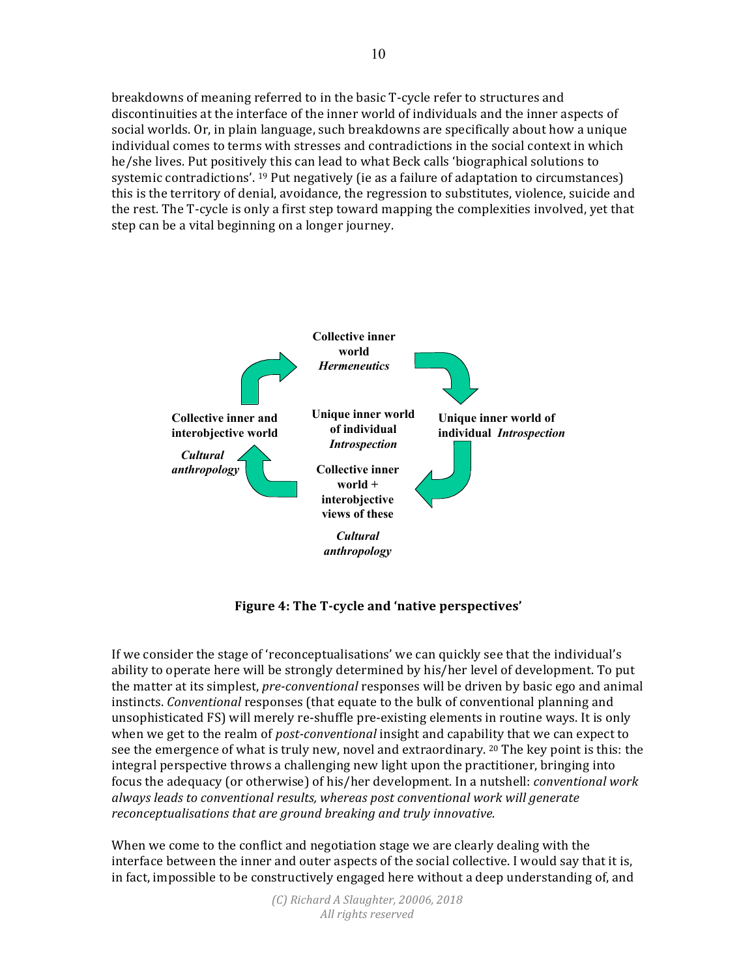breakdowns of meaning referred to in the basic T-cycle refer to structures and discontinuities at the interface of the inner world of individuals and the inner aspects of social worlds. Or, in plain language, such breakdowns are specifically about how a unique individual comes to terms with stresses and contradictions in the social context in which he/she lives. Put positively this can lead to what Beck calls 'biographical solutions to systemic contradictions'.  $19$  Put negatively (ie as a failure of adaptation to circumstances) this is the territory of denial, avoidance, the regression to substitutes, violence, suicide and the rest. The T-cycle is only a first step toward mapping the complexities involved, yet that step can be a vital beginning on a longer journey.



**Figure 4: The T-cycle and 'native perspectives'** 

If we consider the stage of 'reconceptualisations' we can quickly see that the individual's ability to operate here will be strongly determined by his/her level of development. To put the matter at its simplest, *pre-conventional* responses will be driven by basic ego and animal instincts. *Conventional* responses (that equate to the bulk of conventional planning and unsophisticated FS) will merely re-shuffle pre-existing elements in routine ways. It is only when we get to the realm of *post-conventional* insight and capability that we can expect to see the emergence of what is truly new, novel and extraordinary.  $20$  The key point is this: the integral perspective throws a challenging new light upon the practitioner, bringing into focus the adequacy (or otherwise) of his/her development. In a nutshell: *conventional work* always leads to conventional results, whereas post conventional work will generate reconceptualisations that are ground breaking and truly innovative.

When we come to the conflict and negotiation stage we are clearly dealing with the interface between the inner and outer aspects of the social collective. I would say that it is, in fact, impossible to be constructively engaged here without a deep understanding of, and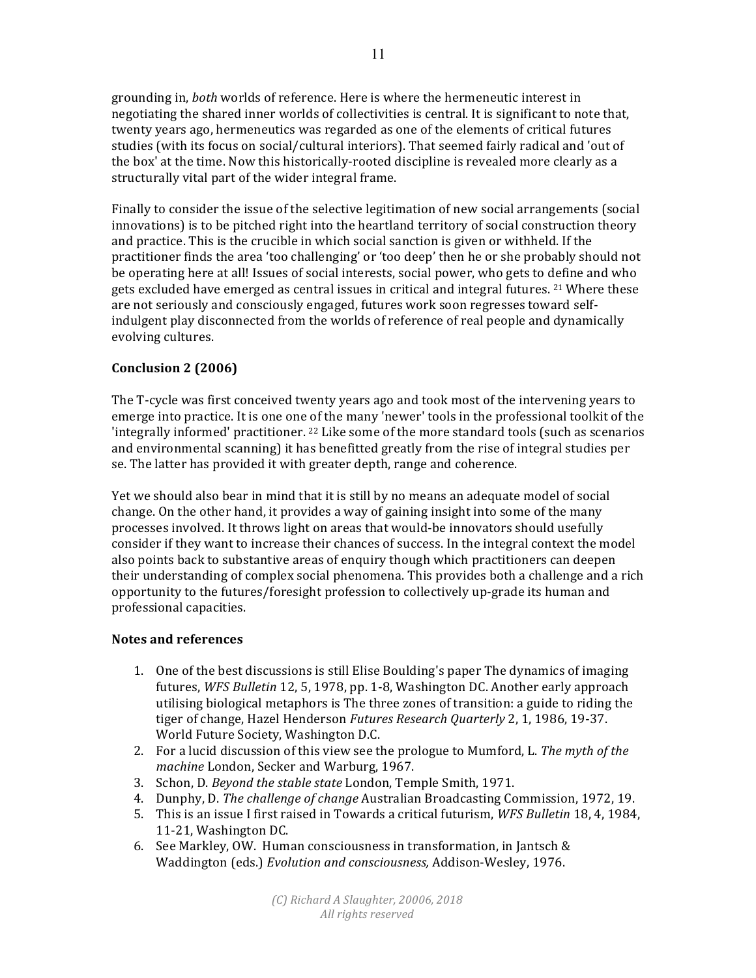grounding in, *both* worlds of reference. Here is where the hermeneutic interest in negotiating the shared inner worlds of collectivities is central. It is significant to note that, twenty years ago, hermeneutics was regarded as one of the elements of critical futures studies (with its focus on social/cultural interiors). That seemed fairly radical and 'out of the box' at the time. Now this historically-rooted discipline is revealed more clearly as a structurally vital part of the wider integral frame.

Finally to consider the issue of the selective legitimation of new social arrangements (social innovations) is to be pitched right into the heartland territory of social construction theory and practice. This is the crucible in which social sanction is given or withheld. If the practitioner finds the area 'too challenging' or 'too deep' then he or she probably should not be operating here at all! Issues of social interests, social power, who gets to define and who gets excluded have emerged as central issues in critical and integral futures.  $21$  Where these are not seriously and consciously engaged, futures work soon regresses toward selfindulgent play disconnected from the worlds of reference of real people and dynamically evolving cultures.

# **Conclusion 2 (2006)**

The T-cycle was first conceived twenty years ago and took most of the intervening years to emerge into practice. It is one one of the many 'newer' tools in the professional toolkit of the 'integrally informed' practitioner.  $22$  Like some of the more standard tools (such as scenarios and environmental scanning) it has benefitted greatly from the rise of integral studies per se. The latter has provided it with greater depth, range and coherence.

Yet we should also bear in mind that it is still by no means an adequate model of social change. On the other hand, it provides a way of gaining insight into some of the many processes involved. It throws light on areas that would-be innovators should usefully consider if they want to increase their chances of success. In the integral context the model also points back to substantive areas of enquiry though which practitioners can deepen their understanding of complex social phenomena. This provides both a challenge and a rich opportunity to the futures/foresight profession to collectively up-grade its human and professional capacities.

# **Notes and references**

- 1. One of the best discussions is still Elise Boulding's paper The dynamics of imaging futures, *WFS Bulletin* 12, 5, 1978, pp. 1-8, Washington DC. Another early approach utilising biological metaphors is The three zones of transition: a guide to riding the tiger of change, Hazel Henderson Futures Research Quarterly 2, 1, 1986, 19-37. World Future Society, Washington D.C.
- 2. For a lucid discussion of this view see the prologue to Mumford, L. The myth of the *machine* London, Secker and Warburg, 1967.
- 3. Schon, D. *Beyond the stable state* London, Temple Smith, 1971.
- 4. Dunphy, D. *The challenge of change* Australian Broadcasting Commission, 1972, 19.
- 5. This is an issue I first raised in Towards a critical futurism, *WFS Bulletin* 18, 4, 1984, 11-21, Washington DC.
- 6. See Markley, OW. Human consciousness in transformation, in Jantsch & Waddington (eds.) Evolution and consciousness, Addison-Wesley, 1976.